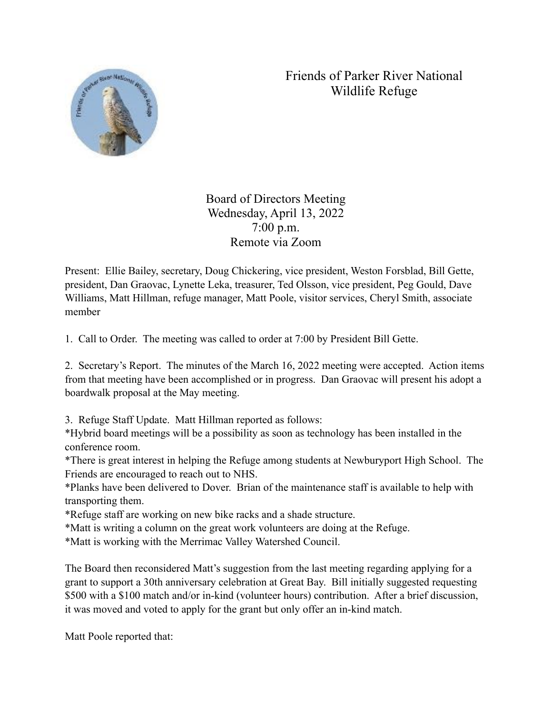## Friends of Parker River National Wildlife Refuge



Board of Directors Meeting Wednesday, April 13, 2022 7:00 p.m. Remote via Zoom

Present: Ellie Bailey, secretary, Doug Chickering, vice president, Weston Forsblad, Bill Gette, president, Dan Graovac, Lynette Leka, treasurer, Ted Olsson, vice president, Peg Gould, Dave Williams, Matt Hillman, refuge manager, Matt Poole, visitor services, Cheryl Smith, associate member

1. Call to Order. The meeting was called to order at 7:00 by President Bill Gette.

2. Secretary's Report. The minutes of the March 16, 2022 meeting were accepted. Action items from that meeting have been accomplished or in progress. Dan Graovac will present his adopt a boardwalk proposal at the May meeting.

3. Refuge Staff Update. Matt Hillman reported as follows:

\*Hybrid board meetings will be a possibility as soon as technology has been installed in the conference room.

\*There is great interest in helping the Refuge among students at Newburyport High School. The Friends are encouraged to reach out to NHS.

\*Planks have been delivered to Dover. Brian of the maintenance staff is available to help with transporting them.

\*Refuge staff are working on new bike racks and a shade structure.

\*Matt is writing a column on the great work volunteers are doing at the Refuge.

\*Matt is working with the Merrimac Valley Watershed Council.

The Board then reconsidered Matt's suggestion from the last meeting regarding applying for a grant to support a 30th anniversary celebration at Great Bay. Bill initially suggested requesting \$500 with a \$100 match and/or in-kind (volunteer hours) contribution. After a brief discussion, it was moved and voted to apply for the grant but only offer an in-kind match.

Matt Poole reported that: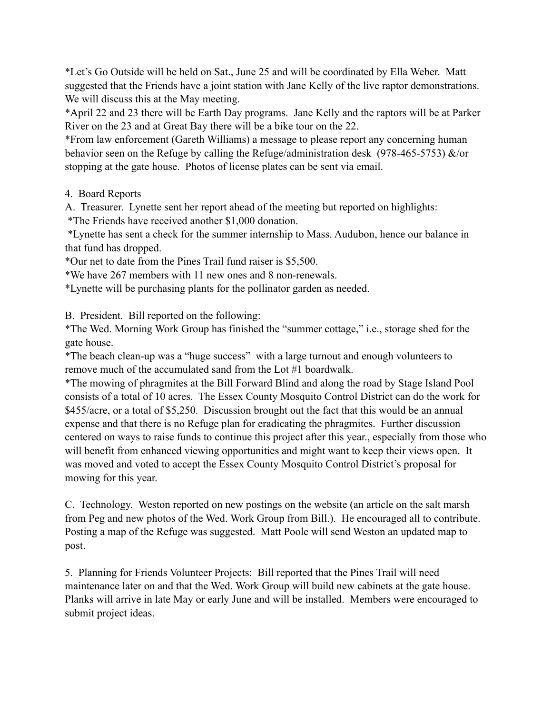\*Let's Go Outside will be held on Sat., June 25 and will be coordinated by Ella Weber. Matt suggested that the Friends have a joint station with Jane Kelly of the live raptor demonstrations. We will discuss this at the May meeting.

\*April 22 and 23 there will be Earth Day programs. Jane Kelly and the raptors will be at Parker River on the 23 and at Great Bay there will be a bike tour on the 22.

\*From law enforcement (Gareth Williams) a message to please report any concerning human behavior seen on the Refuge by calling the Refuge/administration desk (978-465-5753) &/or stopping at the gate house. Photos of license plates can be sent via email.

4. Board Reports

A. Treasurer. Lynette sent her report ahead of the meeting but reported on highlights:

\*The Friends have received another \$1,000 donation.

 \*Lynette has sent a check for the summer internship to Mass. Audubon, hence our balance in that fund has dropped.

\*Our net to date from the Pines Trail fund raiser is \$5,500.

\*We have 267 members with 11 new ones and 8 non-renewals.

\*Lynette will be purchasing plants for the pollinator garden as needed.

B. President. Bill reported on the following:

\*The Wed. Morning Work Group has finished the "summer cottage," i.e., storage shed for the gate house.

\*The beach clean-up was a "huge success" with a large turnout and enough volunteers to remove much of the accumulated sand from the Lot #1 boardwalk.

\*The mowing of phragmites at the Bill Forward Blind and along the road by Stage Island Pool consists of a total of 10 acres. The Essex County Mosquito Control District can do the work for \$455/acre, or a total of \$5,250. Discussion brought out the fact that this would be an annual expense and that there is no Refuge plan for eradicating the phragmites. Further discussion centered on ways to raise funds to continue this project after this year., especially from those who will benefit from enhanced viewing opportunities and might want to keep their views open. It was moved and voted to accept the Essex County Mosquito Control District's proposal for mowing for this year.

C. Technology. Weston reported on new postings on the website (an article on the salt marsh from Peg and new photos of the Wed. Work Group from Bill.). He encouraged all to contribute. Posting a map of the Refuge was suggested. Matt Poole will send Weston an updated map to post.

5. Planning for Friends Volunteer Projects: Bill reported that the Pines Trail will need maintenance later on and that the Wed. Work Group will build new cabinets at the gate house. Planks will arrive in late May or early June and will be installed. Members were encouraged to submit project ideas.